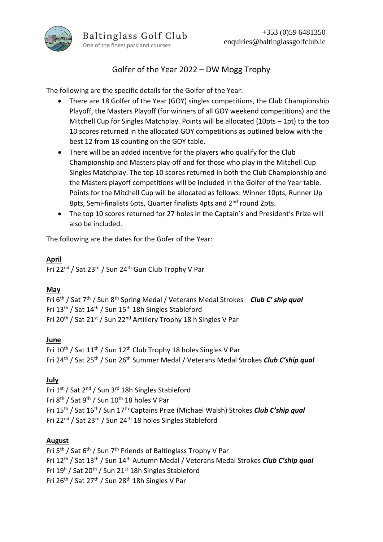

# Golfer of the Year 2022 – DW Mogg Trophy

The following are the specific details for the Golfer of the Year:

- There are 18 Golfer of the Year (GOY) singles competitions, the Club Championship Playoff, the Masters Playoff (for winners of all GOY weekend competitions) and the Mitchell Cup for Singles Matchplay. Points will be allocated (10pts – 1pt) to the top 10 scores returned in the allocated GOY competitions as outlined below with the best 12 from 18 counting on the GOY table.
- There will be an added incentive for the players who qualify for the Club Championship and Masters play-off and for those who play in the Mitchell Cup Singles Matchplay. The top 10 scores returned in both the Club Championship and the Masters playoff competitions will be included in the Golfer of the Year table. Points for the Mitchell Cup will be allocated as follows: Winner 10pts, Runner Up 8pts, Semi-finalists 6pts, Quarter finalists 4pts and 2<sup>nd</sup> round 2pts.
- The top 10 scores returned for 27 holes in the Captain's and President's Prize will also be included.

The following are the dates for the Gofer of the Year:

### **April**

Fri 22nd / Sat 23rd / Sun 24th Gun Club Trophy V Par

## **May**

Fri 6th / Sat 7th / Sun 8th Spring Medal / Veterans Medal Strokes *Club C' ship qual* Fri 13<sup>th</sup> / Sat 14<sup>th</sup> / Sun 15<sup>th</sup> 18h Singles Stableford Fri 20<sup>th</sup> / Sat 21<sup>st</sup> / Sun 22<sup>nd</sup> Artillery Trophy 18 h Singles V Par

### **June**

Fri 10<sup>th</sup> / Sat 11<sup>th</sup> / Sun 12<sup>th</sup> Club Trophy 18 holes Singles V Par Fri 24th / Sat 25th / Sun 26th Summer Medal / Veterans Medal Strokes *Club C'ship qual*

## **July**

Fri 1st / Sat 2<sup>nd</sup> / Sun 3<sup>rd</sup> 18h Singles Stableford Fri 8<sup>th</sup> / Sat 9<sup>th</sup> / Sun 10<sup>th</sup> 18 holes V Par Fri 15th / Sat 16th/ Sun 17th Captains Prize (Michael Walsh) Strokes *Club C'ship qual* Fri 22<sup>nd</sup> / Sat 23<sup>rd</sup> / Sun 24<sup>th</sup> 18 holes Singles Stableford

### **August**

Fri 5<sup>th</sup> / Sat 6<sup>th</sup> / Sun 7<sup>th</sup> Friends of Baltinglass Trophy V Par Fri 12th / Sat 13th / Sun 14th Autumn Medal / Veterans Medal Strokes *Club C'ship qual* Fri 19<sup>h</sup> / Sat 20<sup>th</sup> / Sun 21<sup>st</sup> 18h Singles Stableford Fri 26<sup>th</sup> / Sat 27<sup>th</sup> / Sun 28<sup>th</sup> 18h Singles V Par